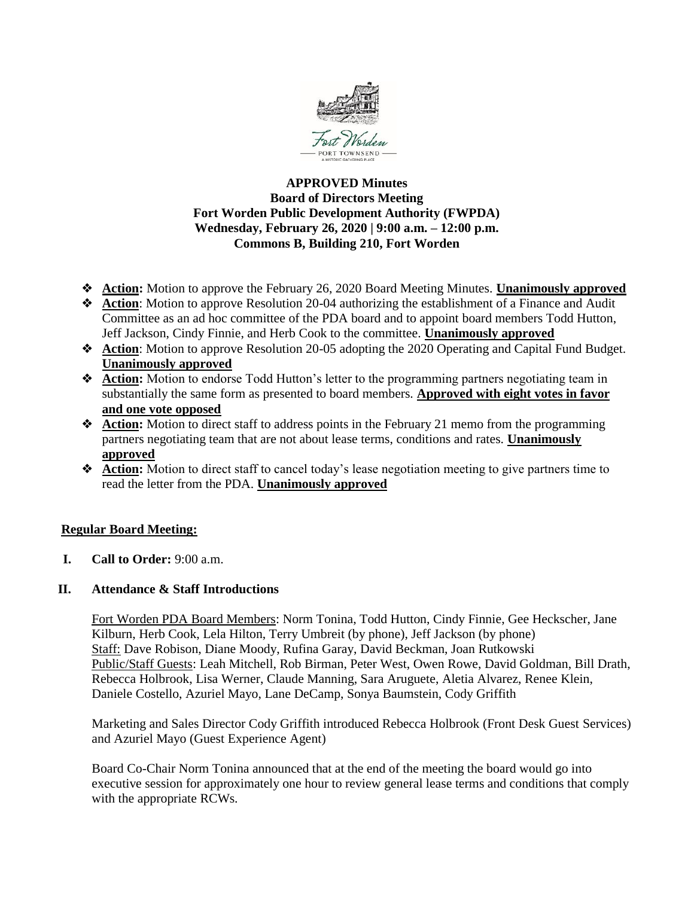

# **APPROVED Minutes Board of Directors Meeting Fort Worden Public Development Authority (FWPDA) Wednesday, February 26, 2020 | 9:00 a.m. – 12:00 p.m. Commons B, Building 210, Fort Worden**

- ❖ **Action:** Motion to approve the February 26, 2020 Board Meeting Minutes. **Unanimously approved**
- ❖ **Action**: Motion to approve Resolution 20-04 authorizing the establishment of a Finance and Audit Committee as an ad hoc committee of the PDA board and to appoint board members Todd Hutton, Jeff Jackson, Cindy Finnie, and Herb Cook to the committee. **Unanimously approved**
- ❖ **Action**: Motion to approve Resolution 20-05 adopting the 2020 Operating and Capital Fund Budget. **Unanimously approved**
- ❖ **Action:** Motion to endorse Todd Hutton's letter to the programming partners negotiating team in substantially the same form as presented to board members. **Approved with eight votes in favor and one vote opposed**
- ❖ **Action:** Motion to direct staff to address points in the February 21 memo from the programming partners negotiating team that are not about lease terms, conditions and rates. **Unanimously approved**
- ❖ **Action:** Motion to direct staff to cancel today's lease negotiation meeting to give partners time to read the letter from the PDA. **Unanimously approved**

# **Regular Board Meeting:**

**I. Call to Order:** 9:00 a.m.

# **II. Attendance & Staff Introductions**

Fort Worden PDA Board Members: Norm Tonina, Todd Hutton, Cindy Finnie, Gee Heckscher, Jane Kilburn, Herb Cook, Lela Hilton, Terry Umbreit (by phone), Jeff Jackson (by phone) Staff: Dave Robison, Diane Moody, Rufina Garay, David Beckman, Joan Rutkowski Public/Staff Guests: Leah Mitchell, Rob Birman, Peter West, Owen Rowe, David Goldman, Bill Drath, Rebecca Holbrook, Lisa Werner, Claude Manning, Sara Aruguete, Aletia Alvarez, Renee Klein, Daniele Costello, Azuriel Mayo, Lane DeCamp, Sonya Baumstein, Cody Griffith

Marketing and Sales Director Cody Griffith introduced Rebecca Holbrook (Front Desk Guest Services) and Azuriel Mayo (Guest Experience Agent)

Board Co-Chair Norm Tonina announced that at the end of the meeting the board would go into executive session for approximately one hour to review general lease terms and conditions that comply with the appropriate RCWs.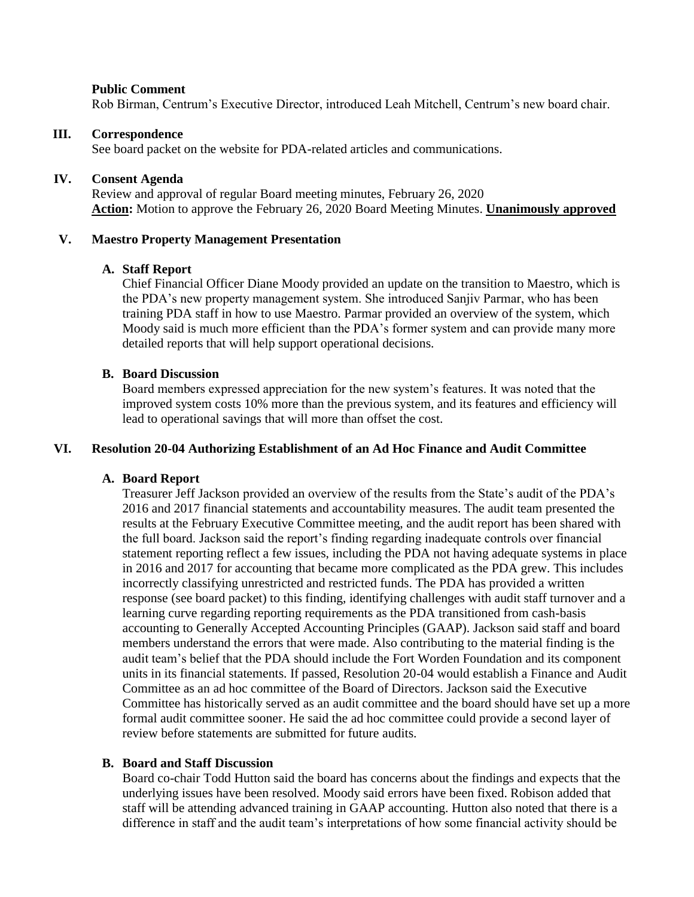## **Public Comment**

Rob Birman, Centrum's Executive Director, introduced Leah Mitchell, Centrum's new board chair.

## **III. Correspondence**

See board packet on the website for PDA-related articles and communications.

### **IV. Consent Agenda**

Review and approval of regular Board meeting minutes, February 26, 2020 **Action:** Motion to approve the February 26, 2020 Board Meeting Minutes. **Unanimously approved**

## **V. Maestro Property Management Presentation**

## **A. Staff Report**

Chief Financial Officer Diane Moody provided an update on the transition to Maestro, which is the PDA's new property management system. She introduced Sanjiv Parmar, who has been training PDA staff in how to use Maestro. Parmar provided an overview of the system, which Moody said is much more efficient than the PDA's former system and can provide many more detailed reports that will help support operational decisions.

## **B. Board Discussion**

Board members expressed appreciation for the new system's features. It was noted that the improved system costs 10% more than the previous system, and its features and efficiency will lead to operational savings that will more than offset the cost.

### **VI. Resolution 20-04 Authorizing Establishment of an Ad Hoc Finance and Audit Committee**

### **A. Board Report**

Treasurer Jeff Jackson provided an overview of the results from the State's audit of the PDA's 2016 and 2017 financial statements and accountability measures. The audit team presented the results at the February Executive Committee meeting, and the audit report has been shared with the full board. Jackson said the report's finding regarding inadequate controls over financial statement reporting reflect a few issues, including the PDA not having adequate systems in place in 2016 and 2017 for accounting that became more complicated as the PDA grew. This includes incorrectly classifying unrestricted and restricted funds. The PDA has provided a written response (see board packet) to this finding, identifying challenges with audit staff turnover and a learning curve regarding reporting requirements as the PDA transitioned from cash-basis accounting to Generally Accepted Accounting Principles (GAAP). Jackson said staff and board members understand the errors that were made. Also contributing to the material finding is the audit team's belief that the PDA should include the Fort Worden Foundation and its component units in its financial statements. If passed, Resolution 20-04 would establish a Finance and Audit Committee as an ad hoc committee of the Board of Directors. Jackson said the Executive Committee has historically served as an audit committee and the board should have set up a more formal audit committee sooner. He said the ad hoc committee could provide a second layer of review before statements are submitted for future audits.

# **B. Board and Staff Discussion**

Board co-chair Todd Hutton said the board has concerns about the findings and expects that the underlying issues have been resolved. Moody said errors have been fixed. Robison added that staff will be attending advanced training in GAAP accounting. Hutton also noted that there is a difference in staff and the audit team's interpretations of how some financial activity should be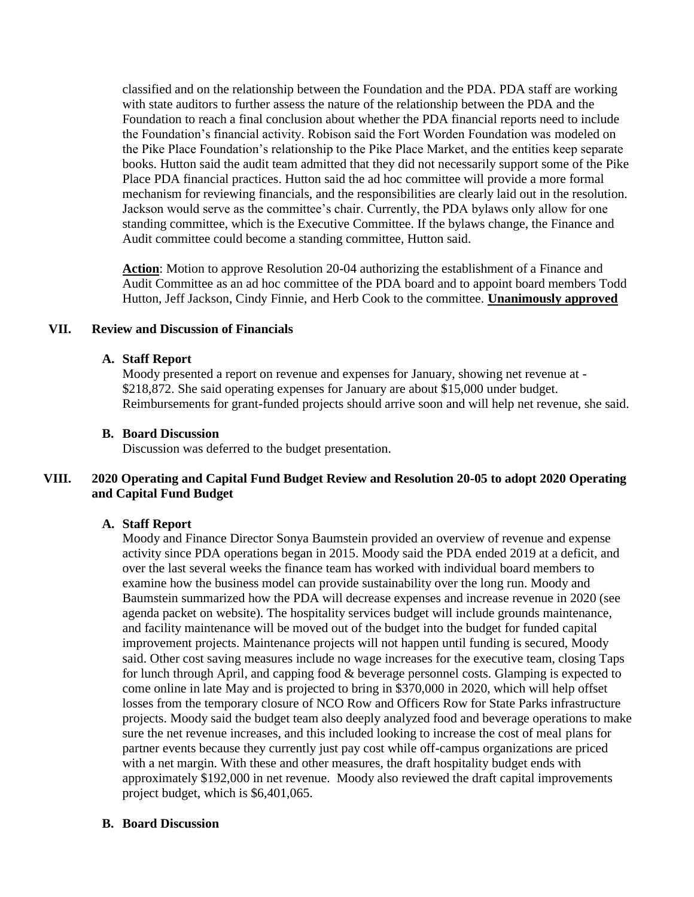classified and on the relationship between the Foundation and the PDA. PDA staff are working with state auditors to further assess the nature of the relationship between the PDA and the Foundation to reach a final conclusion about whether the PDA financial reports need to include the Foundation's financial activity. Robison said the Fort Worden Foundation was modeled on the Pike Place Foundation's relationship to the Pike Place Market, and the entities keep separate books. Hutton said the audit team admitted that they did not necessarily support some of the Pike Place PDA financial practices. Hutton said the ad hoc committee will provide a more formal mechanism for reviewing financials, and the responsibilities are clearly laid out in the resolution. Jackson would serve as the committee's chair. Currently, the PDA bylaws only allow for one standing committee, which is the Executive Committee. If the bylaws change, the Finance and Audit committee could become a standing committee, Hutton said.

Action: Motion to approve Resolution 20-04 authorizing the establishment of a Finance and Audit Committee as an ad hoc committee of the PDA board and to appoint board members Todd Hutton, Jeff Jackson, Cindy Finnie, and Herb Cook to the committee. **Unanimously approved**

### **VII. Review and Discussion of Financials**

#### **A. Staff Report**

Moody presented a report on revenue and expenses for January, showing net revenue at - \$218,872. She said operating expenses for January are about \$15,000 under budget. Reimbursements for grant-funded projects should arrive soon and will help net revenue, she said.

#### **B. Board Discussion**

Discussion was deferred to the budget presentation.

## **VIII. 2020 Operating and Capital Fund Budget Review and Resolution 20-05 to adopt 2020 Operating and Capital Fund Budget**

### **A. Staff Report**

Moody and Finance Director Sonya Baumstein provided an overview of revenue and expense activity since PDA operations began in 2015. Moody said the PDA ended 2019 at a deficit, and over the last several weeks the finance team has worked with individual board members to examine how the business model can provide sustainability over the long run. Moody and Baumstein summarized how the PDA will decrease expenses and increase revenue in 2020 (see agenda packet on website). The hospitality services budget will include grounds maintenance, and facility maintenance will be moved out of the budget into the budget for funded capital improvement projects. Maintenance projects will not happen until funding is secured, Moody said. Other cost saving measures include no wage increases for the executive team, closing Taps for lunch through April, and capping food & beverage personnel costs. Glamping is expected to come online in late May and is projected to bring in \$370,000 in 2020, which will help offset losses from the temporary closure of NCO Row and Officers Row for State Parks infrastructure projects. Moody said the budget team also deeply analyzed food and beverage operations to make sure the net revenue increases, and this included looking to increase the cost of meal plans for partner events because they currently just pay cost while off-campus organizations are priced with a net margin. With these and other measures, the draft hospitality budget ends with approximately \$192,000 in net revenue. Moody also reviewed the draft capital improvements project budget, which is \$6,401,065.

#### **B. Board Discussion**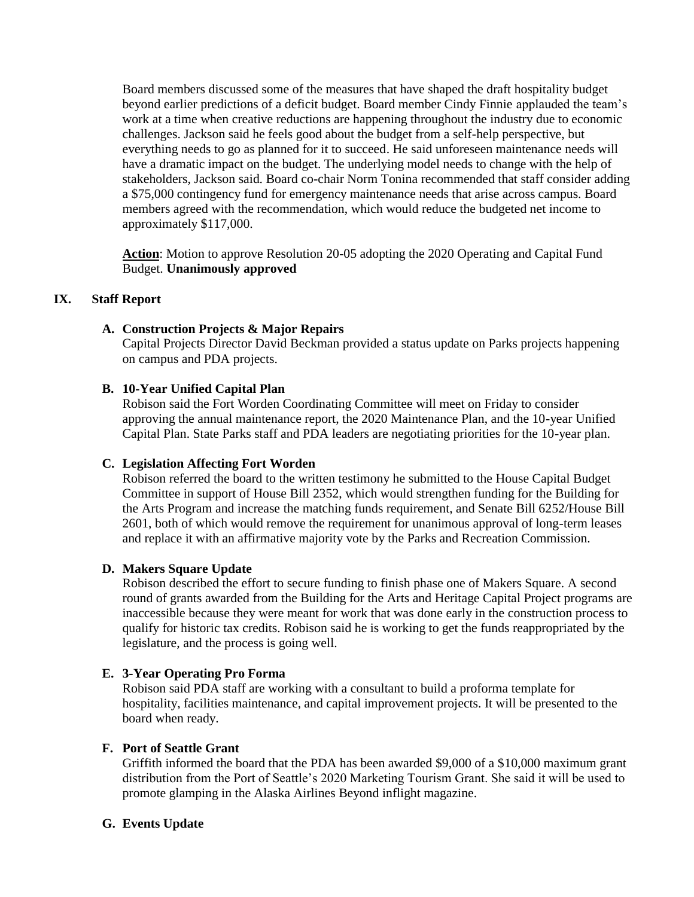Board members discussed some of the measures that have shaped the draft hospitality budget beyond earlier predictions of a deficit budget. Board member Cindy Finnie applauded the team's work at a time when creative reductions are happening throughout the industry due to economic challenges. Jackson said he feels good about the budget from a self-help perspective, but everything needs to go as planned for it to succeed. He said unforeseen maintenance needs will have a dramatic impact on the budget. The underlying model needs to change with the help of stakeholders, Jackson said. Board co-chair Norm Tonina recommended that staff consider adding a \$75,000 contingency fund for emergency maintenance needs that arise across campus. Board members agreed with the recommendation, which would reduce the budgeted net income to approximately \$117,000.

**Action**: Motion to approve Resolution 20-05 adopting the 2020 Operating and Capital Fund Budget. **Unanimously approved**

# **IX. Staff Report**

## **A. Construction Projects & Major Repairs**

Capital Projects Director David Beckman provided a status update on Parks projects happening on campus and PDA projects.

## **B. 10-Year Unified Capital Plan**

Robison said the Fort Worden Coordinating Committee will meet on Friday to consider approving the annual maintenance report, the 2020 Maintenance Plan, and the 10-year Unified Capital Plan. State Parks staff and PDA leaders are negotiating priorities for the 10-year plan.

### **C. Legislation Affecting Fort Worden**

Robison referred the board to the written testimony he submitted to the House Capital Budget Committee in support of House Bill 2352, which would strengthen funding for the Building for the Arts Program and increase the matching funds requirement, and Senate Bill 6252/House Bill 2601, both of which would remove the requirement for unanimous approval of long-term leases and replace it with an affirmative majority vote by the Parks and Recreation Commission.

### **D. Makers Square Update**

Robison described the effort to secure funding to finish phase one of Makers Square. A second round of grants awarded from the Building for the Arts and Heritage Capital Project programs are inaccessible because they were meant for work that was done early in the construction process to qualify for historic tax credits. Robison said he is working to get the funds reappropriated by the legislature, and the process is going well.

### **E. 3-Year Operating Pro Forma**

Robison said PDA staff are working with a consultant to build a proforma template for hospitality, facilities maintenance, and capital improvement projects. It will be presented to the board when ready.

## **F. Port of Seattle Grant**

Griffith informed the board that the PDA has been awarded \$9,000 of a \$10,000 maximum grant distribution from the Port of Seattle's 2020 Marketing Tourism Grant. She said it will be used to promote glamping in the Alaska Airlines Beyond inflight magazine.

### **G. Events Update**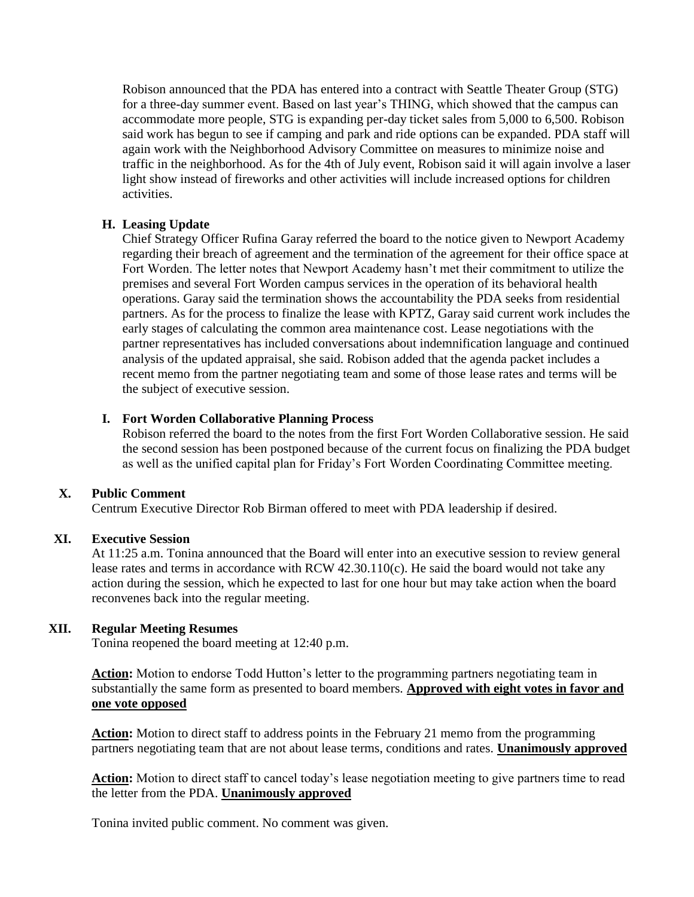Robison announced that the PDA has entered into a contract with Seattle Theater Group (STG) for a three-day summer event. Based on last year's THING, which showed that the campus can accommodate more people, STG is expanding per-day ticket sales from 5,000 to 6,500. Robison said work has begun to see if camping and park and ride options can be expanded. PDA staff will again work with the Neighborhood Advisory Committee on measures to minimize noise and traffic in the neighborhood. As for the 4th of July event, Robison said it will again involve a laser light show instead of fireworks and other activities will include increased options for children activities.

# **H. Leasing Update**

Chief Strategy Officer Rufina Garay referred the board to the notice given to Newport Academy regarding their breach of agreement and the termination of the agreement for their office space at Fort Worden. The letter notes that Newport Academy hasn't met their commitment to utilize the premises and several Fort Worden campus services in the operation of its behavioral health operations. Garay said the termination shows the accountability the PDA seeks from residential partners. As for the process to finalize the lease with KPTZ, Garay said current work includes the early stages of calculating the common area maintenance cost. Lease negotiations with the partner representatives has included conversations about indemnification language and continued analysis of the updated appraisal, she said. Robison added that the agenda packet includes a recent memo from the partner negotiating team and some of those lease rates and terms will be the subject of executive session.

# **I. Fort Worden Collaborative Planning Process**

Robison referred the board to the notes from the first Fort Worden Collaborative session. He said the second session has been postponed because of the current focus on finalizing the PDA budget as well as the unified capital plan for Friday's Fort Worden Coordinating Committee meeting.

# **X. Public Comment**

Centrum Executive Director Rob Birman offered to meet with PDA leadership if desired.

# **XI. Executive Session**

At 11:25 a.m. Tonina announced that the Board will enter into an executive session to review general lease rates and terms in accordance with RCW 42.30.110(c). He said the board would not take any action during the session, which he expected to last for one hour but may take action when the board reconvenes back into the regular meeting.

# **XII. Regular Meeting Resumes**

Tonina reopened the board meeting at 12:40 p.m.

**Action:** Motion to endorse Todd Hutton's letter to the programming partners negotiating team in substantially the same form as presented to board members. **Approved with eight votes in favor and one vote opposed**

**Action:** Motion to direct staff to address points in the February 21 memo from the programming partners negotiating team that are not about lease terms, conditions and rates. **Unanimously approved**

Action: Motion to direct staff to cancel today's lease negotiation meeting to give partners time to read the letter from the PDA. **Unanimously approved**

Tonina invited public comment. No comment was given.